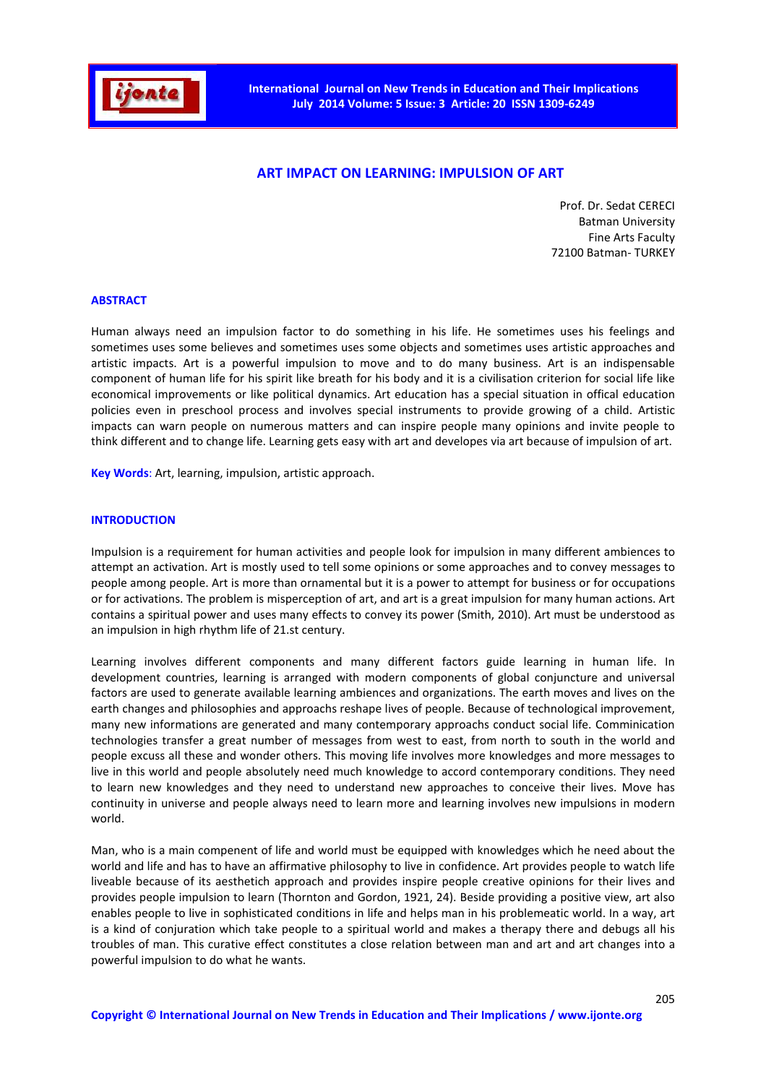

# **ART IMPACT ON LEARNING: IMPULSION OF ART**

Prof. Dr. Sedat CERECI Batman University Fine Arts Faculty 72100 Batman- TURKEY

#### **ABSTRACT**

Human always need an impulsion factor to do something in his life. He sometimes uses his feelings and sometimes uses some believes and sometimes uses some objects and sometimes uses artistic approaches and artistic impacts. Art is a powerful impulsion to move and to do many business. Art is an indispensable component of human life for his spirit like breath for his body and it is a civilisation criterion for social life like economical improvements or like political dynamics. Art education has a special situation in offical education policies even in preschool process and involves special instruments to provide growing of a child. Artistic impacts can warn people on numerous matters and can inspire people many opinions and invite people to think different and to change life. Learning gets easy with art and developes via art because of impulsion of art.

**Key Words**: Art, learning, impulsion, artistic approach.

#### **INTRODUCTION**

Impulsion is a requirement for human activities and people look for impulsion in many different ambiences to attempt an activation. Art is mostly used to tell some opinions or some approaches and to convey messages to people among people. Art is more than ornamental but it is a power to attempt for business or for occupations or for activations. The problem is misperception of art, and art is a great impulsion for many human actions. Art contains a spiritual power and uses many effects to convey its power (Smith, 2010). Art must be understood as an impulsion in high rhythm life of 21.st century.

Learning involves different components and many different factors guide learning in human life. In development countries, learning is arranged with modern components of global conjuncture and universal factors are used to generate available learning ambiences and organizations. The earth moves and lives on the earth changes and philosophies and approachs reshape lives of people. Because of technological improvement, many new informations are generated and many contemporary approachs conduct social life. Comminication technologies transfer a great number of messages from west to east, from north to south in the world and people excuss all these and wonder others. This moving life involves more knowledges and more messages to live in this world and people absolutely need much knowledge to accord contemporary conditions. They need to learn new knowledges and they need to understand new approaches to conceive their lives. Move has continuity in universe and people always need to learn more and learning involves new impulsions in modern world.

Man, who is a main compenent of life and world must be equipped with knowledges which he need about the world and life and has to have an affirmative philosophy to live in confidence. Art provides people to watch life liveable because of its aesthetich approach and provides inspire people creative opinions for their lives and provides people impulsion to learn (Thornton and Gordon, 1921, 24). Beside providing a positive view, art also enables people to live in sophisticated conditions in life and helps man in his problemeatic world. In a way, art is a kind of conjuration which take people to a spiritual world and makes a therapy there and debugs all his troubles of man. This curative effect constitutes a close relation between man and art and art changes into a powerful impulsion to do what he wants.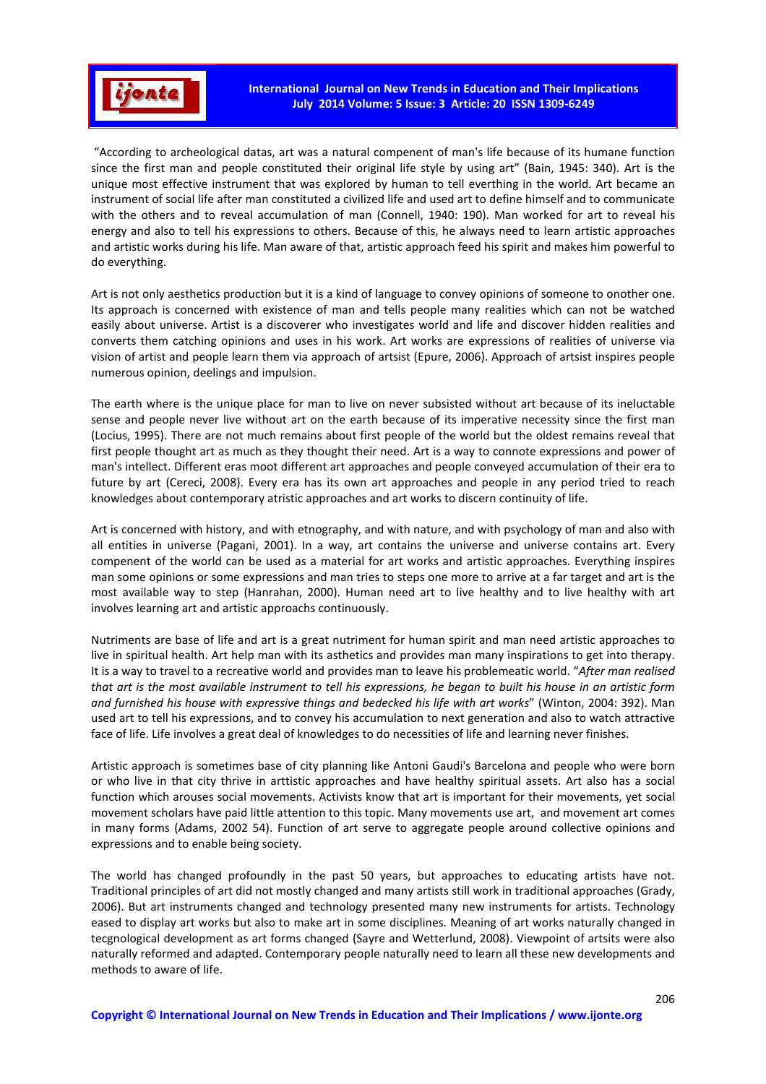

 "According to archeological datas, art was a natural compenent of man's life because of its humane function since the first man and people constituted their original life style by using art" (Bain, 1945: 340). Art is the unique most effective instrument that was explored by human to tell everthing in the world. Art became an instrument of social life after man constituted a civilized life and used art to define himself and to communicate with the others and to reveal accumulation of man (Connell, 1940: 190). Man worked for art to reveal his energy and also to tell his expressions to others. Because of this, he always need to learn artistic approaches and artistic works during his life. Man aware of that, artistic approach feed his spirit and makes him powerful to do everything.

Art is not only aesthetics production but it is a kind of language to convey opinions of someone to onother one. Its approach is concerned with existence of man and tells people many realities which can not be watched easily about universe. Artist is a discoverer who investigates world and life and discover hidden realities and converts them catching opinions and uses in his work. Art works are expressions of realities of universe via vision of artist and people learn them via approach of artsist (Epure, 2006). Approach of artsist inspires people numerous opinion, deelings and impulsion.

The earth where is the unique place for man to live on never subsisted without art because of its ineluctable sense and people never live without art on the earth because of its imperative necessity since the first man (Locius, 1995). There are not much remains about first people of the world but the oldest remains reveal that first people thought art as much as they thought their need. Art is a way to connote expressions and power of man's intellect. Different eras moot different art approaches and people conveyed accumulation of their era to future by art (Cereci, 2008). Every era has its own art approaches and people in any period tried to reach knowledges about contemporary atristic approaches and art works to discern continuity of life.

Art is concerned with history, and with etnography, and with nature, and with psychology of man and also with all entities in universe (Pagani, 2001). In a way, art contains the universe and universe contains art. Every compenent of the world can be used as a material for art works and artistic approaches. Everything inspires man some opinions or some expressions and man tries to steps one more to arrive at a far target and art is the most available way to step (Hanrahan, 2000). Human need art to live healthy and to live healthy with art involves learning art and artistic approachs continuously.

Nutriments are base of life and art is a great nutriment for human spirit and man need artistic approaches to live in spiritual health. Art help man with its asthetics and provides man many inspirations to get into therapy. It is a way to travel to a recreative world and provides man to leave his problemeatic world. "*After man realised that art is the most available instrument to tell his expressions, he began to built his house in an artistic form and furnished his house with expressive things and bedecked his life with art works*" (Winton, 2004: 392). Man used art to tell his expressions, and to convey his accumulation to next generation and also to watch attractive face of life. Life involves a great deal of knowledges to do necessities of life and learning never finishes.

Artistic approach is sometimes base of city planning like Antoni Gaudi's Barcelona and people who were born or who live in that city thrive in arttistic approaches and have healthy spiritual assets. Art also has a social function which arouses social movements. Activists know that art is important for their movements, yet social movement scholars have paid little attention to this topic. Many movements use art, and movement art comes in many forms (Adams, 2002 54). Function of art serve to aggregate people around collective opinions and expressions and to enable being society.

The world has changed profoundly in the past 50 years, but approaches to educating artists have not. Traditional principles of art did not mostly changed and many artists still work in traditional approaches (Grady, 2006). But art instruments changed and technology presented many new instruments for artists. Technology eased to display art works but also to make art in some disciplines. Meaning of art works naturally changed in tecgnological development as art forms changed (Sayre and Wetterlund, 2008). Viewpoint of artsits were also naturally reformed and adapted. Contemporary people naturally need to learn all these new developments and methods to aware of life.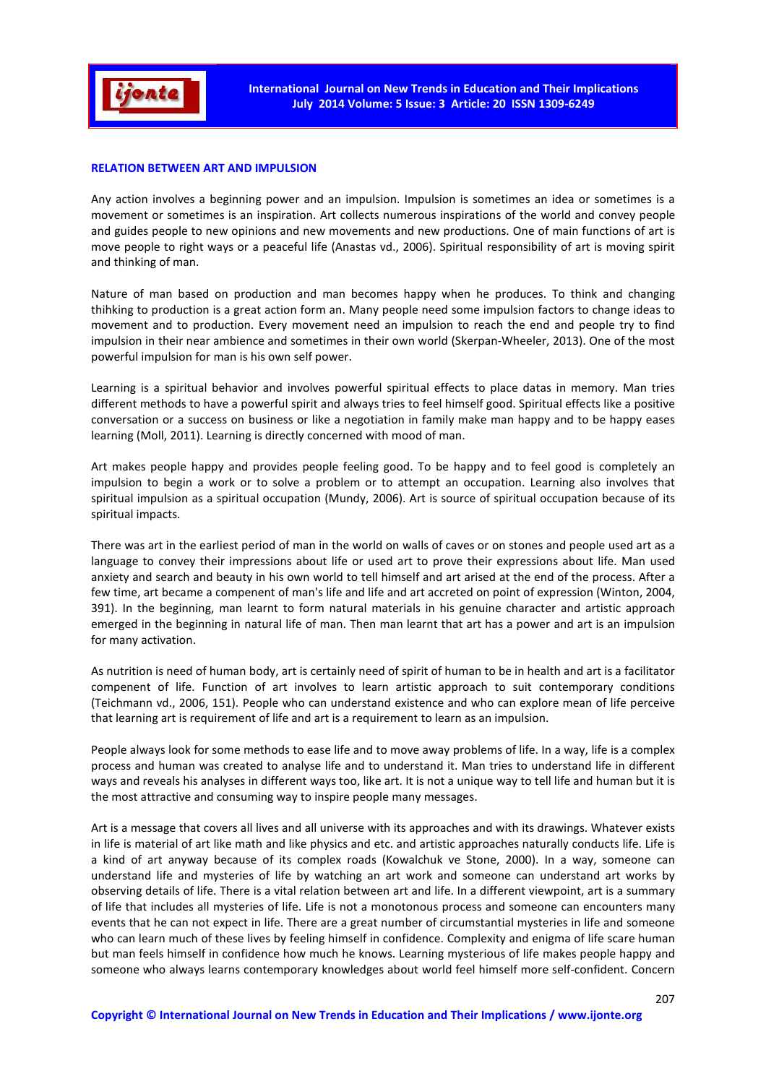

## **RELATION BETWEEN ART AND IMPULSION**

Any action involves a beginning power and an impulsion. Impulsion is sometimes an idea or sometimes is a movement or sometimes is an inspiration. Art collects numerous inspirations of the world and convey people and guides people to new opinions and new movements and new productions. One of main functions of art is move people to right ways or a peaceful life (Anastas vd., 2006). Spiritual responsibility of art is moving spirit and thinking of man.

Nature of man based on production and man becomes happy when he produces. To think and changing thihking to production is a great action form an. Many people need some impulsion factors to change ideas to movement and to production. Every movement need an impulsion to reach the end and people try to find impulsion in their near ambience and sometimes in their own world (Skerpan-Wheeler, 2013). One of the most powerful impulsion for man is his own self power.

Learning is a spiritual behavior and involves powerful spiritual effects to place datas in memory. Man tries different methods to have a powerful spirit and always tries to feel himself good. Spiritual effects like a positive conversation or a success on business or like a negotiation in family make man happy and to be happy eases learning (Moll, 2011). Learning is directly concerned with mood of man.

Art makes people happy and provides people feeling good. To be happy and to feel good is completely an impulsion to begin a work or to solve a problem or to attempt an occupation. Learning also involves that spiritual impulsion as a spiritual occupation (Mundy, 2006). Art is source of spiritual occupation because of its spiritual impacts.

There was art in the earliest period of man in the world on walls of caves or on stones and people used art as a language to convey their impressions about life or used art to prove their expressions about life. Man used anxiety and search and beauty in his own world to tell himself and art arised at the end of the process. After a few time, art became a compenent of man's life and life and art accreted on point of expression (Winton, 2004, 391). In the beginning, man learnt to form natural materials in his genuine character and artistic approach emerged in the beginning in natural life of man. Then man learnt that art has a power and art is an impulsion for many activation.

As nutrition is need of human body, art is certainly need of spirit of human to be in health and art is a facilitator compenent of life. Function of art involves to learn artistic approach to suit contemporary conditions (Teichmann vd., 2006, 151). People who can understand existence and who can explore mean of life perceive that learning art is requirement of life and art is a requirement to learn as an impulsion.

People always look for some methods to ease life and to move away problems of life. In a way, life is a complex process and human was created to analyse life and to understand it. Man tries to understand life in different ways and reveals his analyses in different ways too, like art. It is not a unique way to tell life and human but it is the most attractive and consuming way to inspire people many messages.

Art is a message that covers all lives and all universe with its approaches and with its drawings. Whatever exists in life is material of art like math and like physics and etc. and artistic approaches naturally conducts life. Life is a kind of art anyway because of its complex roads (Kowalchuk ve Stone, 2000). In a way, someone can understand life and mysteries of life by watching an art work and someone can understand art works by observing details of life. There is a vital relation between art and life. In a different viewpoint, art is a summary of life that includes all mysteries of life. Life is not a monotonous process and someone can encounters many events that he can not expect in life. There are a great number of circumstantial mysteries in life and someone who can learn much of these lives by feeling himself in confidence. Complexity and enigma of life scare human but man feels himself in confidence how much he knows. Learning mysterious of life makes people happy and someone who always learns contemporary knowledges about world feel himself more self-confident. Concern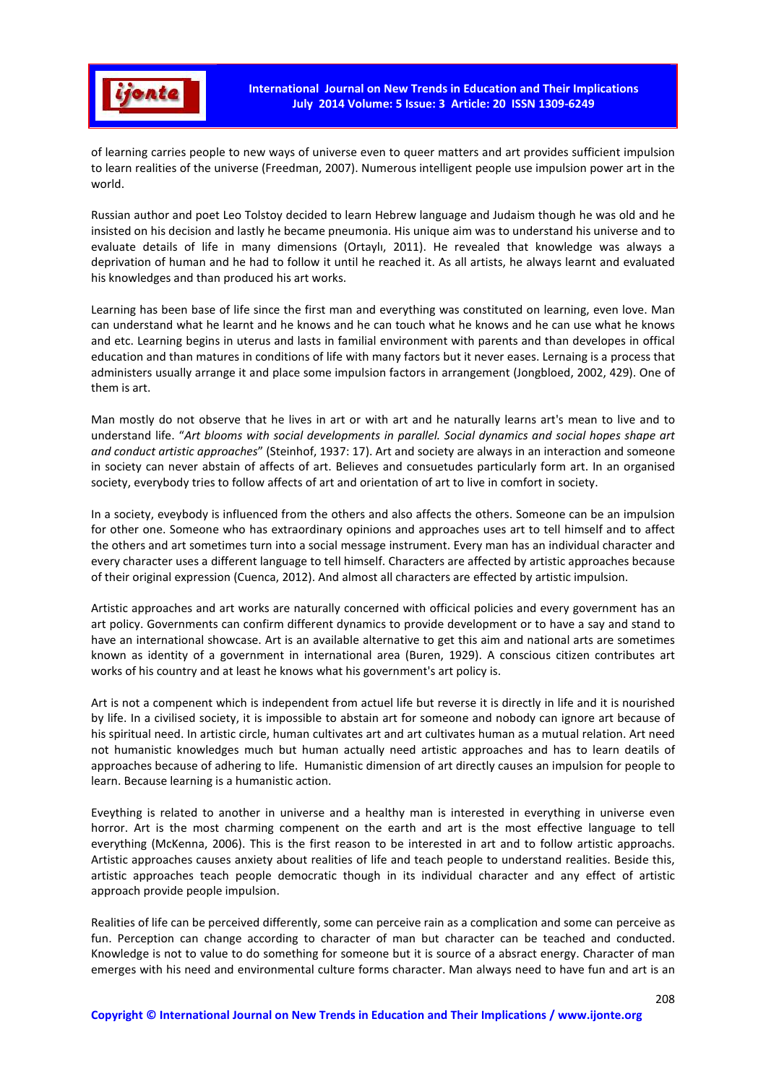

of learning carries people to new ways of universe even to queer matters and art provides sufficient impulsion to learn realities of the universe (Freedman, 2007). Numerous intelligent people use impulsion power art in the world.

Russian author and poet Leo Tolstoy decided to learn Hebrew language and Judaism though he was old and he insisted on his decision and lastly he became pneumonia. His unique aim was to understand his universe and to evaluate details of life in many dimensions (Ortaylı, 2011). He revealed that knowledge was always a deprivation of human and he had to follow it until he reached it. As all artists, he always learnt and evaluated his knowledges and than produced his art works.

Learning has been base of life since the first man and everything was constituted on learning, even love. Man can understand what he learnt and he knows and he can touch what he knows and he can use what he knows and etc. Learning begins in uterus and lasts in familial environment with parents and than developes in offical education and than matures in conditions of life with many factors but it never eases. Lernaing is a process that administers usually arrange it and place some impulsion factors in arrangement (Jongbloed, 2002, 429). One of them is art.

Man mostly do not observe that he lives in art or with art and he naturally learns art's mean to live and to understand life. "*Art blooms with social developments in parallel. Social dynamics and social hopes shape art and conduct artistic approaches*" (Steinhof, 1937: 17). Art and society are always in an interaction and someone in society can never abstain of affects of art. Believes and consuetudes particularly form art. In an organised society, everybody tries to follow affects of art and orientation of art to live in comfort in society.

In a society, eveybody is influenced from the others and also affects the others. Someone can be an impulsion for other one. Someone who has extraordinary opinions and approaches uses art to tell himself and to affect the others and art sometimes turn into a social message instrument. Every man has an individual character and every character uses a different language to tell himself. Characters are affected by artistic approaches because of their original expression (Cuenca, 2012). And almost all characters are effected by artistic impulsion.

Artistic approaches and art works are naturally concerned with officical policies and every government has an art policy. Governments can confirm different dynamics to provide development or to have a say and stand to have an international showcase. Art is an available alternative to get this aim and national arts are sometimes known as identity of a government in international area (Buren, 1929). A conscious citizen contributes art works of his country and at least he knows what his government's art policy is.

Art is not a compenent which is independent from actuel life but reverse it is directly in life and it is nourished by life. In a civilised society, it is impossible to abstain art for someone and nobody can ignore art because of his spiritual need. In artistic circle, human cultivates art and art cultivates human as a mutual relation. Art need not humanistic knowledges much but human actually need artistic approaches and has to learn deatils of approaches because of adhering to life. Humanistic dimension of art directly causes an impulsion for people to learn. Because learning is a humanistic action.

Eveything is related to another in universe and a healthy man is interested in everything in universe even horror. Art is the most charming compenent on the earth and art is the most effective language to tell everything (McKenna, 2006). This is the first reason to be interested in art and to follow artistic approachs. Artistic approaches causes anxiety about realities of life and teach people to understand realities. Beside this, artistic approaches teach people democratic though in its individual character and any effect of artistic approach provide people impulsion.

Realities of life can be perceived differently, some can perceive rain as a complication and some can perceive as fun. Perception can change according to character of man but character can be teached and conducted. Knowledge is not to value to do something for someone but it is source of a absract energy. Character of man emerges with his need and environmental culture forms character. Man always need to have fun and art is an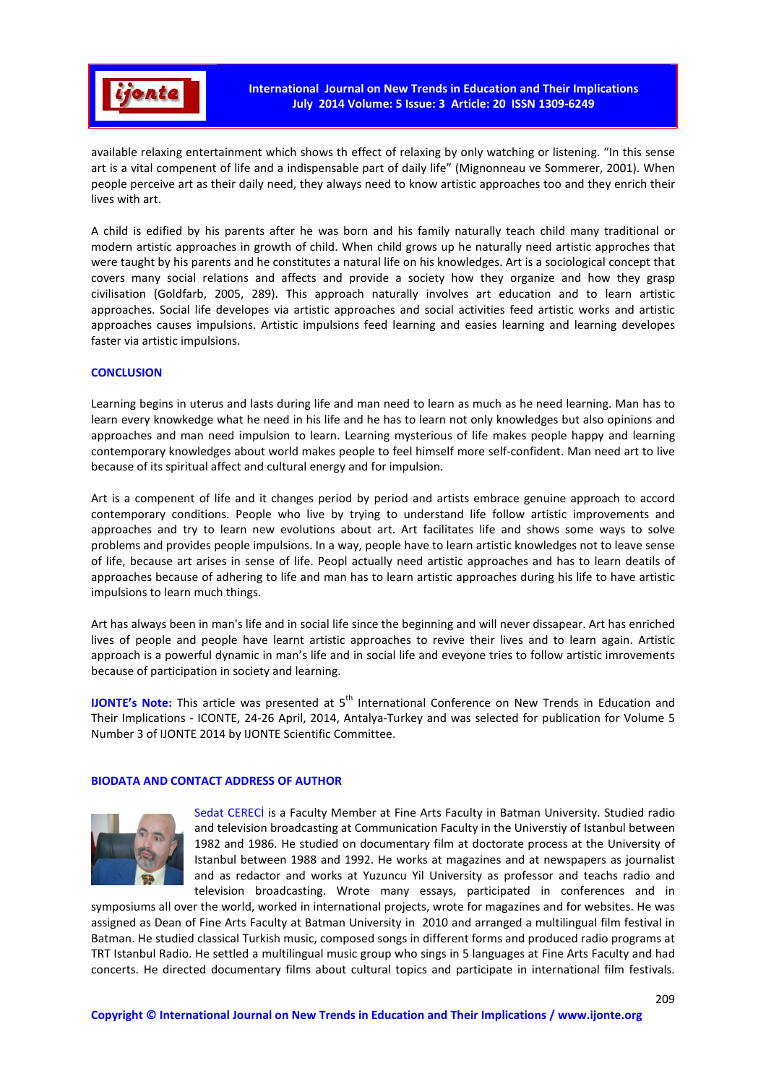

available relaxing entertainment which shows th effect of relaxing by only watching or listening. "In this sense art is a vital compenent of life and a indispensable part of daily life" (Mignonneau ve Sommerer, 2001). When people perceive art as their daily need, they always need to know artistic approaches too and they enrich their lives with art.

A child is edified by his parents after he was born and his family naturally teach child many traditional or modern artistic approaches in growth of child. When child grows up he naturally need artistic approches that were taught by his parents and he constitutes a natural life on his knowledges. Art is a sociological concept that covers many social relations and affects and provide a society how they organize and how they grasp civilisation (Goldfarb, 2005, 289). This approach naturally involves art education and to learn artistic approaches. Social life developes via artistic approaches and social activities feed artistic works and artistic approaches causes impulsions. Artistic impulsions feed learning and easies learning and learning developes faster via artistic impulsions.

## **CONCLUSION**

Learning begins in uterus and lasts during life and man need to learn as much as he need learning. Man has to learn every knowkedge what he need in his life and he has to learn not only knowledges but also opinions and approaches and man need impulsion to learn. Learning mysterious of life makes people happy and learning contemporary knowledges about world makes people to feel himself more self-confident. Man need art to live because of its spiritual affect and cultural energy and for impulsion.

Art is a compenent of life and it changes period by period and artists embrace genuine approach to accord contemporary conditions. People who live by trying to understand life follow artistic improvements and approaches and try to learn new evolutions about art. Art facilitates life and shows some ways to solve problems and provides people impulsions. In a way, people have to learn artistic knowledges not to leave sense of life, because art arises in sense of life. Peopl actually need artistic approaches and has to learn deatils of approaches because of adhering to life and man has to learn artistic approaches during his life to have artistic impulsions to learn much things.

Art has always been in man's life and in social life since the beginning and will never dissapear. Art has enriched lives of people and people have learnt artistic approaches to revive their lives and to learn again. Artistic approach is a powerful dynamic in man's life and in social life and eveyone tries to follow artistic imrovements because of participation in society and learning.

**IJONTE's Note:** This article was presented at 5<sup>th</sup> International Conference on New Trends in Education and Their Implications - ICONTE, 24-26 April, 2014, Antalya-Turkey and was selected for publication for Volume 5 Number 3 of IJONTE 2014 by IJONTE Scientific Committee.

## **BIODATA AND CONTACT ADDRESS OF AUTHOR**



Sedat CERECİ is a Faculty Member at Fine Arts Faculty in Batman University. Studied radio and television broadcasting at Communication Faculty in the Universtiy of Istanbul between 1982 and 1986. He studied on documentary film at doctorate process at the University of Istanbul between 1988 and 1992. He works at magazines and at newspapers as journalist and as redactor and works at Yuzuncu Yil University as professor and teachs radio and television broadcasting. Wrote many essays, participated in conferences and in

symposiums all over the world, worked in international projects, wrote for magazines and for websites. He was assigned as Dean of Fine Arts Faculty at Batman University in 2010 and arranged a multilingual film festival in Batman. He studied classical Turkish music, composed songs in different forms and produced radio programs at TRT Istanbul Radio. He settled a multilingual music group who sings in 5 languages at Fine Arts Faculty and had concerts. He directed documentary films about cultural topics and participate in international film festivals.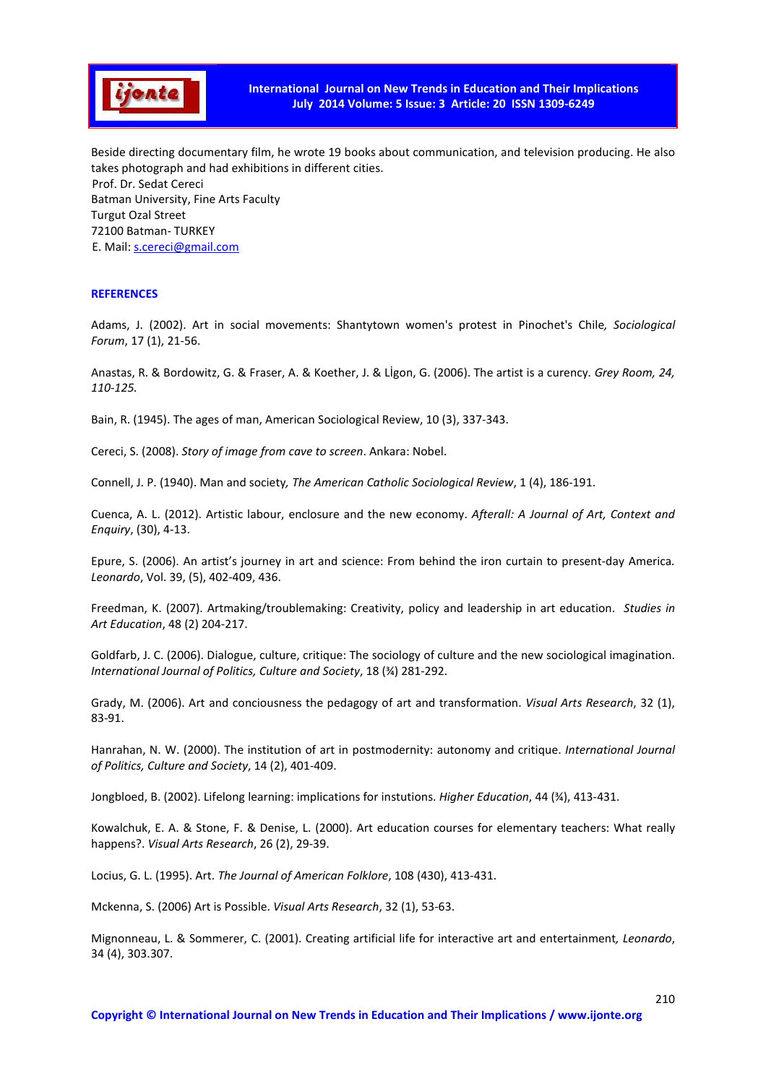

Beside directing documentary film, he wrote 19 books about communication, and television producing. He also takes photograph and had exhibitions in different cities. Prof. Dr. Sedat Cereci Batman University, Fine Arts Faculty Turgut Ozal Street 72100 Batman- TURKEY E. Mail: s.cereci@gmail.com

#### **REFERENCES**

Adams, J. (2002). Art in social movements: Shantytown women's protest in Pinochet's Chile*, Sociological Forum*, 17 (1), 21-56.

Anastas, R. & Bordowitz, G. & Fraser, A. & Koether, J. & Lİgon, G. (2006). The artist is a curency*. Grey Room, 24, 110-125.* 

Bain, R. (1945). The ages of man, American Sociological Review, 10 (3), 337-343.

Cereci, S. (2008). *Story of image from cave to screen*. Ankara: Nobel.

Connell, J. P. (1940). Man and society*, The American Catholic Sociological Review*, 1 (4), 186-191.

Cuenca, A. L. (2012). Artistic labour, enclosure and the new economy. *Afterall: A Journal of Art, Context and Enquiry*, (30), 4-13.

Epure, S. (2006). An artist's journey in art and science: From behind the iron curtain to present-day America*. Leonardo*, Vol. 39, (5), 402-409, 436.

Freedman, K. (2007). Artmaking/troublemaking: Creativity, policy and leadership in art education. *Studies in Art Education*, 48 (2) 204-217.

Goldfarb, J. C. (2006). Dialogue, culture, critique: The sociology of culture and the new sociological imagination. *International Journal of Politics, Culture and Society*, 18 (¾) 281-292.

Grady, M. (2006). Art and conciousness the pedagogy of art and transformation. *Visual Arts Research*, 32 (1), 83-91.

Hanrahan, N. W. (2000). The institution of art in postmodernity: autonomy and critique. *International Journal of Politics, Culture and Society*, 14 (2), 401-409.

Jongbloed, B. (2002). Lifelong learning: implications for instutions. *Higher Education*, 44 (¾), 413-431.

Kowalchuk, E. A. & Stone, F. & Denise, L. (2000). Art education courses for elementary teachers: What really happens?. *Visual Arts Research*, 26 (2), 29-39.

Locius, G. L. (1995). Art. *The Journal of American Folklore*, 108 (430), 413-431.

Mckenna, S. (2006) Art is Possible. *Visual Arts Research*, 32 (1), 53-63.

Mignonneau, L. & Sommerer, C. (2001). Creating artificial life for interactive art and entertainment*, Leonardo*, 34 (4), 303.307.